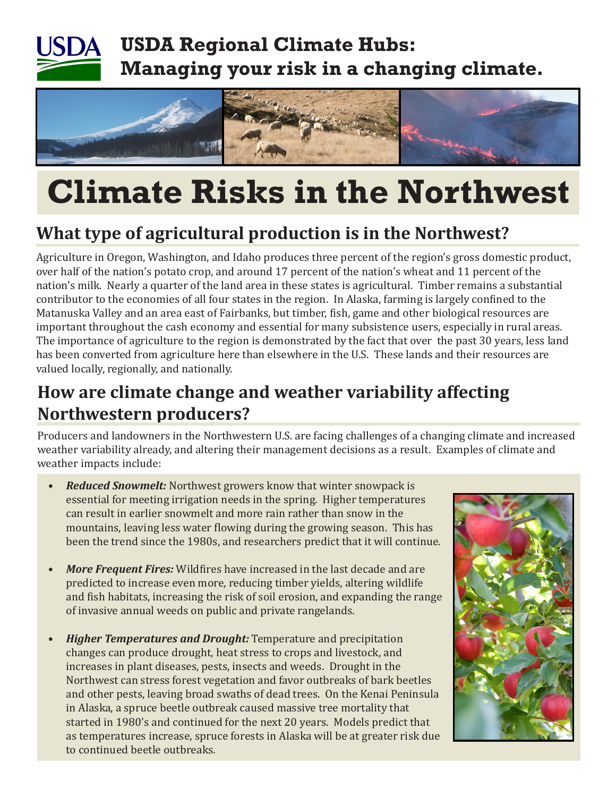# **USDA Regional Climate Hubs: Managing your risk in a changing climate.**



# **Climate Risks in the Northwest**

# **What type of agricultural production is in the Northwest?**

Agriculture in Oregon, Washington, and Idaho produces three percent of the region's gross domestic product, over half of the nation's potato crop, and around 17 percent of the nation's wheat and 11 percent of the nation's milk. Nearly a quarter of the land area in these states is agricultural. Timber remains a substantial contributor to the economies of all four states in the region. In Alaska, farming is largely confined to the Matanuska Valley and an area east of Fairbanks, but timber, fish, game and other biological resources are important throughout the cash economy and essential for many subsistence users, especially in rural areas. The importance of agriculture to the region is demonstrated by the fact that over the past 30 years, less land has been converted from agriculture here than elsewhere in the U.S. These lands and their resources are valued locally, regionally, and nationally.

# **How are climate change and weather variability affecting Northwestern producers?**

Producers and landowners in the Northwestern U.S. are facing challenges of a changing climate and increased weather variability already, and altering their management decisions as a result. Examples of climate and weather impacts include:

- *Reduced Snowmelt:* Northwest growers know that winter snowpack is essential for meeting irrigation needs in the spring. Higher temperatures can result in earlier snowmelt and more rain rather than snow in the mountains, leaving less water flowing during the growing season. This has been the trend since the 1980s, and researchers predict that it will continue.
- *More Frequent Fires:* Wildfires have increased in the last decade and are predicted to increase even more, reducing timber yields, altering wildlife and fish habitats, increasing the risk of soil erosion, and expanding the range of invasive annual weeds on public and private rangelands.
- *Higher Temperatures and Drought: Temperature and precipitation* changes can produce drought, heat stress to crops and livestock, and increases in plant diseases, pests, insects and weeds. Drought in the Northwest can stress forest vegetation and favor outbreaks of bark beetles and other pests, leaving broad swaths of dead trees. On the Kenai Peninsula in Alaska, a spruce beetle outbreak caused massive tree mortality that started in 1980's and continued for the next 20 years. Models predict that as temperatures increase, spruce forests in Alaska will be at greater risk due to continued beetle outbreaks.